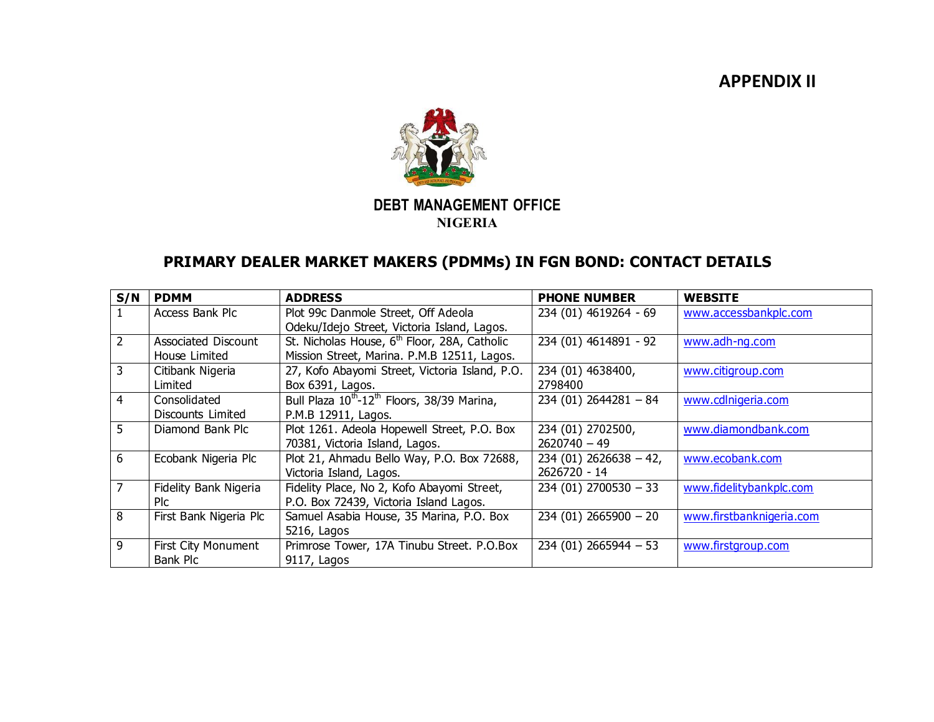## **APPENDIX II**



## **DEBT MANAGEMENT OFFICE NIGERIA**

## **PRIMARY DEALER MARKET MAKERS (PDMMs) IN FGN BOND: CONTACT DETAILS**

| S/N            | <b>PDMM</b>            | <b>ADDRESS</b>                                                      | <b>PHONE NUMBER</b>     | <b>WEBSITE</b>           |
|----------------|------------------------|---------------------------------------------------------------------|-------------------------|--------------------------|
| $\mathbf{1}$   | Access Bank Plc        | Plot 99c Danmole Street, Off Adeola                                 | 234 (01) 4619264 - 69   | www.accessbankplc.com    |
|                |                        | Odeku/Idejo Street, Victoria Island, Lagos.                         |                         |                          |
| $\overline{2}$ | Associated Discount    | St. Nicholas House, 6 <sup>th</sup> Floor, 28A, Catholic            | 234 (01) 4614891 - 92   | www.adh-ng.com           |
|                | House Limited          | Mission Street, Marina. P.M.B 12511, Lagos.                         |                         |                          |
| $\overline{3}$ | Citibank Nigeria       | 27, Kofo Abayomi Street, Victoria Island, P.O.                      | 234 (01) 4638400,       | www.citigroup.com        |
|                | Limited                | Box 6391, Lagos.                                                    | 2798400                 |                          |
| $\overline{4}$ | Consolidated           | Bull Plaza 10 <sup>th</sup> -12 <sup>th</sup> Floors, 38/39 Marina, | $234(01)$ 2644281 - 84  | www.cdlnigeria.com       |
|                | Discounts Limited      | P.M.B 12911, Lagos.                                                 |                         |                          |
| 5              | Diamond Bank Plc       | Plot 1261. Adeola Hopewell Street, P.O. Box                         | 234 (01) 2702500,       | www.diamondbank.com      |
|                |                        | 70381, Victoria Island, Lagos.                                      | $2620740 - 49$          |                          |
| 6              | Ecobank Nigeria Plc    | Plot 21, Ahmadu Bello Way, P.O. Box 72688,                          | $234(01)$ 2626638 - 42, | www.ecobank.com          |
|                |                        | Victoria Island, Lagos.                                             | 2626720 - 14            |                          |
| $\overline{7}$ | Fidelity Bank Nigeria  | Fidelity Place, No 2, Kofo Abayomi Street,                          | $234(01)$ 2700530 - 33  | www.fidelitybankplc.com  |
|                | <b>PIC</b>             | P.O. Box 72439, Victoria Island Lagos.                              |                         |                          |
| 8              | First Bank Nigeria Plc | Samuel Asabia House, 35 Marina, P.O. Box                            | $234(01)$ 2665900 - 20  | www.firstbanknigeria.com |
|                |                        | 5216, Lagos                                                         |                         |                          |
| $\overline{9}$ | First City Monument    | Primrose Tower, 17A Tinubu Street. P.O.Box                          | $234(01)$ 2665944 - 53  | www.firstgroup.com       |
|                | Bank Plc               | 9117, Lagos                                                         |                         |                          |